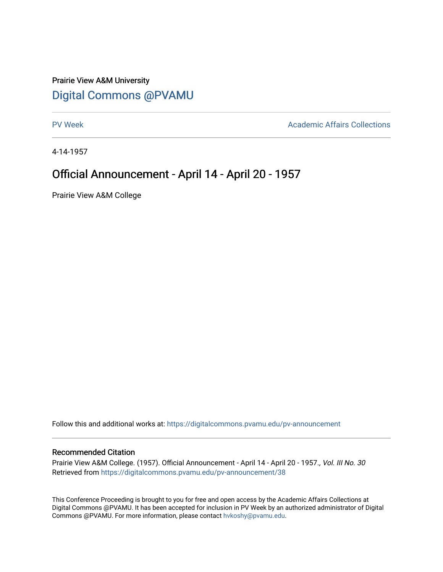## Prairie View A&M University [Digital Commons @PVAMU](https://digitalcommons.pvamu.edu/)

[PV Week](https://digitalcommons.pvamu.edu/pv-announcement) **Academic Affairs Collections** 

4-14-1957

## Official Announcement - April 14 - April 20 - 1957

Prairie View A&M College

Follow this and additional works at: [https://digitalcommons.pvamu.edu/pv-announcement](https://digitalcommons.pvamu.edu/pv-announcement?utm_source=digitalcommons.pvamu.edu%2Fpv-announcement%2F38&utm_medium=PDF&utm_campaign=PDFCoverPages) 

## Recommended Citation

Prairie View A&M College. (1957). Official Announcement - April 14 - April 20 - 1957., Vol. III No. 30 Retrieved from [https://digitalcommons.pvamu.edu/pv-announcement/38](https://digitalcommons.pvamu.edu/pv-announcement/38?utm_source=digitalcommons.pvamu.edu%2Fpv-announcement%2F38&utm_medium=PDF&utm_campaign=PDFCoverPages) 

This Conference Proceeding is brought to you for free and open access by the Academic Affairs Collections at Digital Commons @PVAMU. It has been accepted for inclusion in PV Week by an authorized administrator of Digital Commons @PVAMU. For more information, please contact [hvkoshy@pvamu.edu.](mailto:hvkoshy@pvamu.edu)